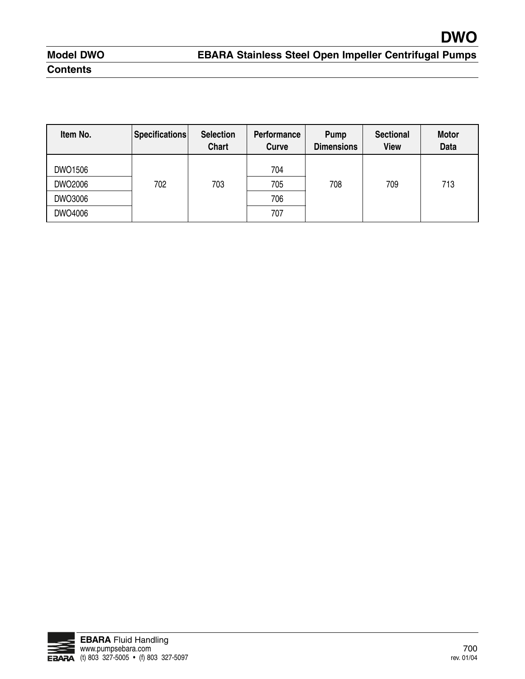# **Model DWO Contents**

| Item No. | Specifications | <b>Selection</b><br><b>Chart</b> | Performance<br>Curve | Pump<br><b>Dimensions</b> | <b>Sectional</b><br><b>View</b> | <b>Motor</b><br><b>Data</b> |
|----------|----------------|----------------------------------|----------------------|---------------------------|---------------------------------|-----------------------------|
| DWO1506  |                |                                  | 704                  |                           |                                 |                             |
| DWO2006  | 702            | 703                              | 705                  | 708                       | 709                             | 713                         |
| DWO3006  |                |                                  | 706                  |                           |                                 |                             |
| DWO4006  |                |                                  | 707                  |                           |                                 |                             |

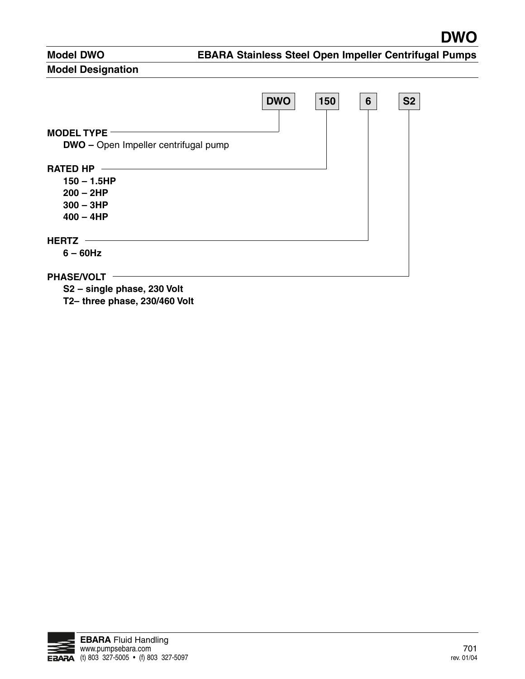#### **Model Designation**



**S2 – single phase, 230 Volt**

**T2– three phase, 230/460 Volt**

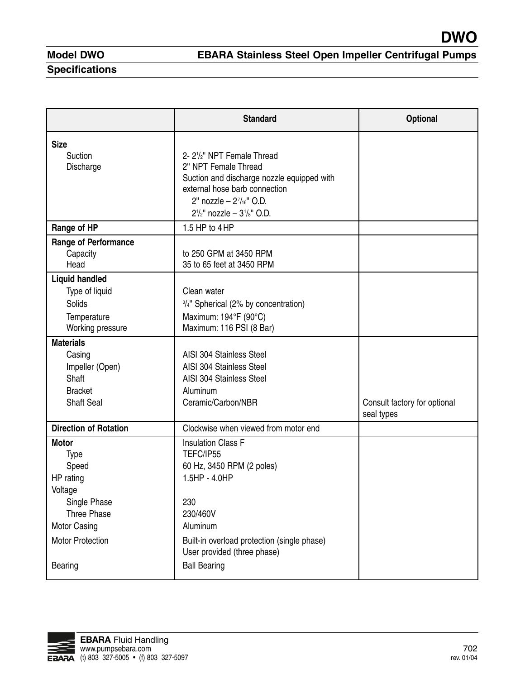**Specifications**

|                                    | <b>Standard</b>                                                            | <b>Optional</b>                            |
|------------------------------------|----------------------------------------------------------------------------|--------------------------------------------|
| <b>Size</b>                        |                                                                            |                                            |
| Suction                            | 2-21/ <sub>2</sub> " NPT Female Thread<br>2" NPT Female Thread             |                                            |
| Discharge                          | Suction and discharge nozzle equipped with                                 |                                            |
|                                    | external hose barb connection                                              |                                            |
|                                    | 2" nozzle - $2^7/16$ " O.D.                                                |                                            |
|                                    | $2^{1/2}$ " nozzle - $3^{1/8}$ " O.D.                                      |                                            |
| Range of HP                        | 1.5 HP to $4HP$                                                            |                                            |
| <b>Range of Performance</b>        |                                                                            |                                            |
| Capacity<br>Head                   | to 250 GPM at 3450 RPM<br>35 to 65 feet at 3450 RPM                        |                                            |
|                                    |                                                                            |                                            |
| <b>Liquid handled</b>              |                                                                            |                                            |
| Type of liquid<br><b>Solids</b>    | Clean water                                                                |                                            |
|                                    | 3/4" Spherical (2% by concentration)<br>Maximum: 194°F (90°C)              |                                            |
| Temperature<br>Working pressure    | Maximum: 116 PSI (8 Bar)                                                   |                                            |
| <b>Materials</b>                   |                                                                            |                                            |
| Casing                             | AISI 304 Stainless Steel                                                   |                                            |
| Impeller (Open)                    | AISI 304 Stainless Steel                                                   |                                            |
| Shaft                              | AISI 304 Stainless Steel                                                   |                                            |
| <b>Bracket</b>                     | Aluminum                                                                   |                                            |
| <b>Shaft Seal</b>                  | Ceramic/Carbon/NBR                                                         | Consult factory for optional<br>seal types |
| <b>Direction of Rotation</b>       | Clockwise when viewed from motor end                                       |                                            |
| <b>Motor</b>                       | <b>Insulation Class F</b>                                                  |                                            |
| Type                               | TEFC/IP55                                                                  |                                            |
| Speed                              | 60 Hz, 3450 RPM (2 poles)                                                  |                                            |
| HP rating                          | 1.5HP - 4.0HP                                                              |                                            |
| Voltage                            |                                                                            |                                            |
| Single Phase<br><b>Three Phase</b> | 230<br>230/460V                                                            |                                            |
| Motor Casing                       | Aluminum                                                                   |                                            |
|                                    |                                                                            |                                            |
| <b>Motor Protection</b>            | Built-in overload protection (single phase)<br>User provided (three phase) |                                            |
| Bearing                            | <b>Ball Bearing</b>                                                        |                                            |
|                                    |                                                                            |                                            |

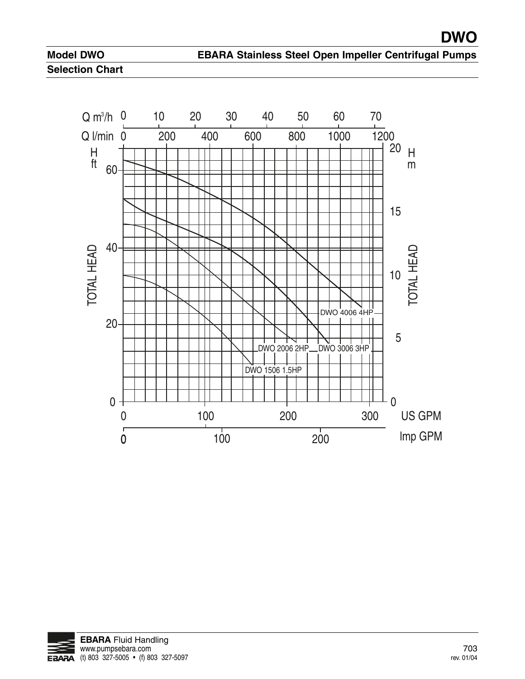

 $Q$  I/min  $0$ **EBARA Stainless Steel Open Impeller**<br> **Q** m<sup>3</sup>/h 0 10 20 30 40 50 60 70<br> **Q** //min 0 200 400 600 800 1000 12<br>
H 60 MONTO EBARA Stainless Steel Open Impeller Contact Contact Contact Contact Contact Contact Contact Contact Contact Contact Contact Contact Contact Contact Contact Contact Contact Contact Contact Contact Contact Contact Con 0 0 5 10 15  $20$  H m 20 40 60 H ft  $\frac{20}{10}$ <br>  $\frac{15}{15}$ <br>  $\frac{20}{10}$ <br>  $\frac{15}{15}$ <br>  $\frac{20}{10}$ <br>  $\frac{15}{15}$ <br>  $\frac{20}{10}$ <br>  $\frac{15}{15}$ <br>  $\frac{20}{10}$ <br>  $\frac{15}{15}$ <br>  $\frac{15}{15}$ <br>  $\frac{15}{15}$ <br>  $\frac{15}{15}$ <br>  $\frac{15}{15}$ <br>  $\frac{15}{15}$ <br>  $\frac{15}{15}$ <br>  $\frac{15}{15}$ <br>  $\frac{100}{100}$ <br>  $\frac{200}{100}$ <br>  $\frac{200}{100}$ <br>  $\frac{200}{100}$  $\frac{20}{20}$ <br>  $\frac{20}{20}$ <br>  $\frac{60}{200}$ <br>  $\frac{100}{200}$ <br>  $\frac{100}{200}$ <br>  $\frac{100}{200}$ <br>  $\frac{100}{200}$ <br>  $\frac{200}{300}$ <br>  $\frac{100}{300}$ <br>
US DWO 1506 1.5HP DWO 2006 2HP DWO 3006 3HP DWO 4006 4HP

100

 $\overline{0}$   $\overline{100}$   $\overline{200}$   $\overline{100}$   $\overline{100}$   $\overline{200}$   $\overline{100}$   $\overline{100}$   $\overline{100}$ 

200



0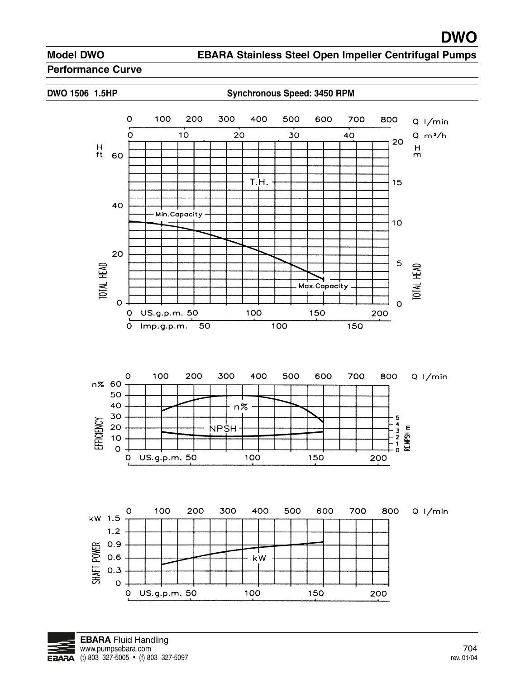**EBARA Stainless Steel Open Impeller Centrifugal Pumps**

#### **Performance Curve**



**DWO 1506 1.5HP Synchronous Speed: 3450 RPM**



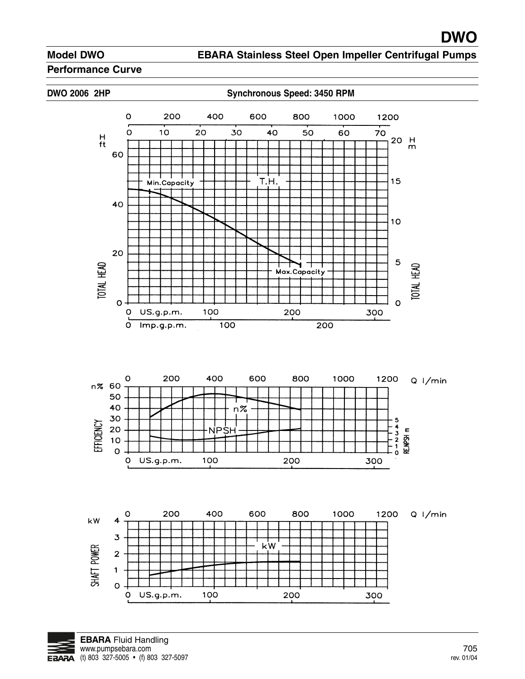#### **EBARA Stainless Steel Open Impeller Centrifugal Pumps**

#### **Performance Curve**

DWO 2006 2HP Synchronous Speed: 3450 RPM







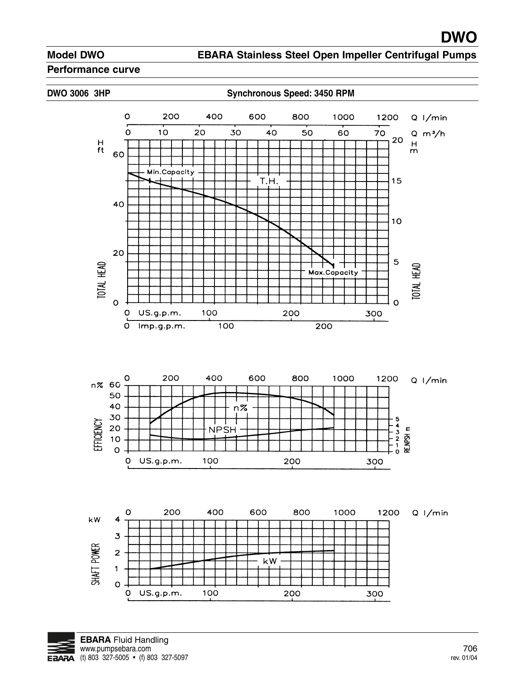**EBARA Stainless Steel Open Impeller Centrifugal Pumps**

#### **Performance curve**

DWO 3006 3HP Synchronous Speed: 3450 RPM







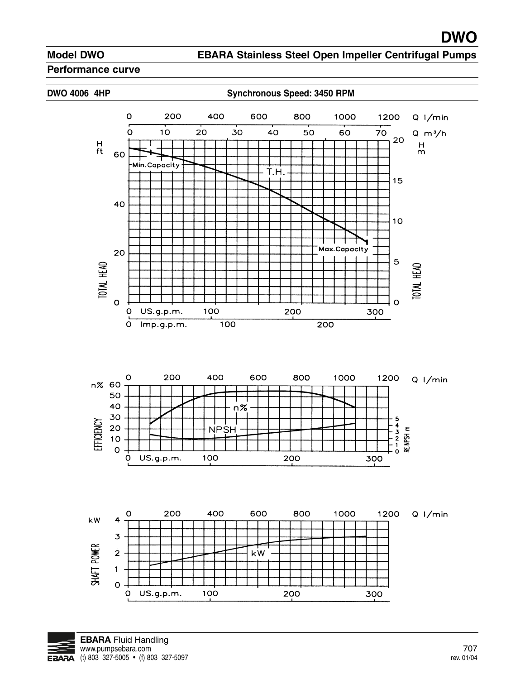**EBARA Stainless Steel Open Impeller Centrifugal Pumps**

#### **Performance curve**

#### **DWO 4006 4HP Synchronous Speed: 3450 RPM**





![](_page_7_Figure_7.jpeg)

![](_page_7_Picture_8.jpeg)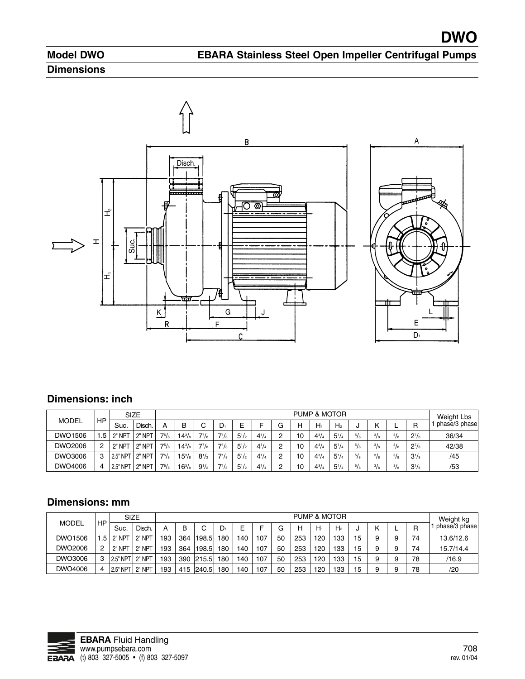**DWO**

# **Dimensions**

![](_page_8_Figure_3.jpeg)

### **Dimensions: inch**

|              | <b>SIZE</b> |                                       |                  |              | <b>PUMP &amp; MOTOR</b> |            |           |           |           |        |                 |           |                |             | Weight Lbs    |             |           |               |
|--------------|-------------|---------------------------------------|------------------|--------------|-------------------------|------------|-----------|-----------|-----------|--------|-----------------|-----------|----------------|-------------|---------------|-------------|-----------|---------------|
| <b>MODEL</b> | HP          | Suc.                                  | Disch.           | A            | в                       | ⌒<br>U     | $D_1$     |           |           | G      | н               | $H_1$     | H <sub>2</sub> |             | ''            | −           | R         | phase/3 phase |
| DWO1506      | . .5 '      | $2"$ NPT                              | $12^{\circ}$ NPT | $7^{5}/_{8}$ | $14^{3}/s$              | $7^{7}/_8$ | $7^{1}/s$ | $5^{1}/2$ | $4^{1}/4$ | っ<br>c | 10              | $4^{3}/4$ | $5^{1}/4$      | $^{5}/_{8}$ | $^{3}/_{8}$   | $^{3}/_{8}$ | $2^{7}/s$ | 36/34         |
| DWO2006      | ာ           | $12"$ NP <sup><math>\tau</math></sup> | $12^{\circ}$ NPT | $7^{5}/\!$   | $14^{3}/s$              | $7^{7}/_8$ | $7^{1}/s$ | $5^{1}/2$ | $4^{1}/4$ | っ      | 10 <sup>°</sup> | $4^{3}/4$ | $5^{1}/4$      | 5/8         | $^{3}/_{8}$   | $^{3}/_{8}$ | $2^{7}/s$ | 42/38         |
| DWO3006      | 3           | 2.5" NPT                              | $12^{\circ}$ NPT | $7^{5}/_{8}$ | $15^{3}/s$              | $8^{1/2}$  | $7^{1}/s$ | $5^{1}/2$ | $4^{1}/4$ | っ<br>c | 10              | $4^{3}/4$ | $5^{1}/4$      | 5/8         | $\frac{3}{8}$ | $^{3}/_{8}$ | $3^{1}/s$ | /45           |
| DWO4006      | 4           | 2.5" NPT                              | <b>NPT</b>       | $7^{5}/_{8}$ | $16^{3}/s$              | $9^{1/2}$  | $7^{1}/s$ | $5^{1}/2$ | $4^{1}/4$ | റ      | 10              | $4^{3}/$  | $5^{1}/4$      | $^{5}/_{8}$ | $\frac{3}{8}$ | $^{3}/_{8}$ | $3^{1/s}$ | /53           |

### **Dimensions: mm**

| <b>MODEL</b> |      | <b>SIZE</b> |            |     | <b>PUMP &amp; MOTOR</b> |           |       |     |     |    |     |     |                | Weight kg |   |   |    |               |
|--------------|------|-------------|------------|-----|-------------------------|-----------|-------|-----|-----|----|-----|-----|----------------|-----------|---|---|----|---------------|
|              | HP   | Suc.        | Disch.     | А   | B                       |           | $D_1$ | E   |     | G  | н   | Hı  | H <sub>2</sub> |           |   | − | R  | phase/3 phase |
| DWO1506      | .5 I | 2" NPT      | 2" NPT     | 193 | 364                     | 198.5     | 180   | 140 | 107 | 50 | 253 | 120 | 133            | 15        | 9 | 9 | 74 | 13.6/12.6     |
| DWO2006      | 0    | 2" NPT      | 2" NPT     | 193 | 364                     | 198.5     | 180   | 140 | 107 | 50 | 253 | 120 | 133            | 15        | 9 | 9 | 74 | 15.7/14.4     |
| DWO3006      | 3    | 2.5" NPT    | .   2" NPT | 193 |                         | 390 215.5 | 180   | 140 | 107 | 50 | 253 | 120 | 133            | 15        | 9 | 9 | 78 | /16.9         |
| DWO4006      |      | 2.5" NPT    | 2" NPT     | 193 |                         | 415 240.5 | 180   | 140 | 107 | 50 | 253 | 120 | 133            | 15        | 9 | 9 | 78 | /20           |

![](_page_8_Picture_8.jpeg)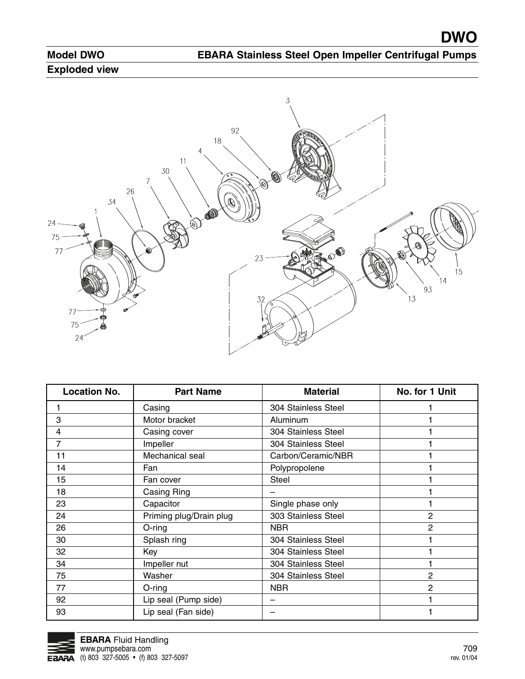# **Exploded view**

![](_page_9_Picture_4.jpeg)

| <b>Location No.</b> | <b>Part Name</b>        | <b>Material</b>     | No. for 1 Unit |
|---------------------|-------------------------|---------------------|----------------|
|                     | Casing                  | 304 Stainless Steel |                |
| 3                   | Motor bracket           | Aluminum            |                |
| 4                   | Casing cover            | 304 Stainless Steel |                |
| 7                   | Impeller                | 304 Stainless Steel |                |
| 11                  | Mechanical seal         | Carbon/Ceramic/NBR  |                |
| 14                  | Fan                     | Polypropolene       |                |
| 15                  | Fan cover               | <b>Steel</b>        |                |
| 18                  | Casing Ring             |                     |                |
| 23                  | Capacitor               | Single phase only   |                |
| 24                  | Priming plug/Drain plug | 303 Stainless Steel | $\overline{2}$ |
| 26                  | O-ring                  | <b>NBR</b>          | 2              |
| 30                  | Splash ring             | 304 Stainless Steel |                |
| 32                  | Key                     | 304 Stainless Steel |                |
| 34                  | Impeller nut            | 304 Stainless Steel |                |
| 75                  | Washer                  | 304 Stainless Steel | 2              |
| 77                  | O-ring                  | <b>NBR</b>          | $\mathbf{2}$   |
| 92                  | Lip seal (Pump side)    |                     |                |
| 93                  | Lip seal (Fan side)     |                     |                |

![](_page_9_Picture_6.jpeg)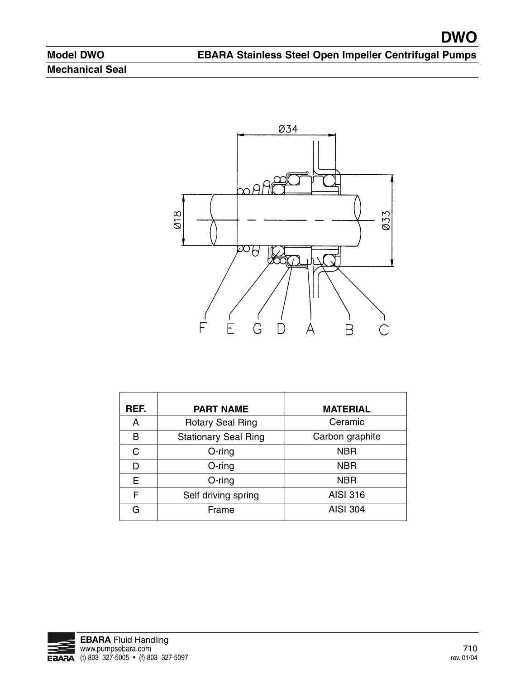# **Model DWO Mechanical Seal**

![](_page_10_Figure_3.jpeg)

| REF. | <b>PART NAME</b>            | <b>MATERIAL</b> |
|------|-----------------------------|-----------------|
| A    | <b>Rotary Seal Ring</b>     | Ceramic         |
| B    | <b>Stationary Seal Ring</b> | Carbon graphite |
| C    | $O$ -ring                   | <b>NBR</b>      |
| D    | $O$ -ring                   | <b>NBR</b>      |
| E    | $O$ -ring                   | <b>NBR</b>      |
| F    | Self driving spring         | <b>AISI 316</b> |
| G    | Frame                       | <b>AISI 304</b> |

![](_page_10_Picture_5.jpeg)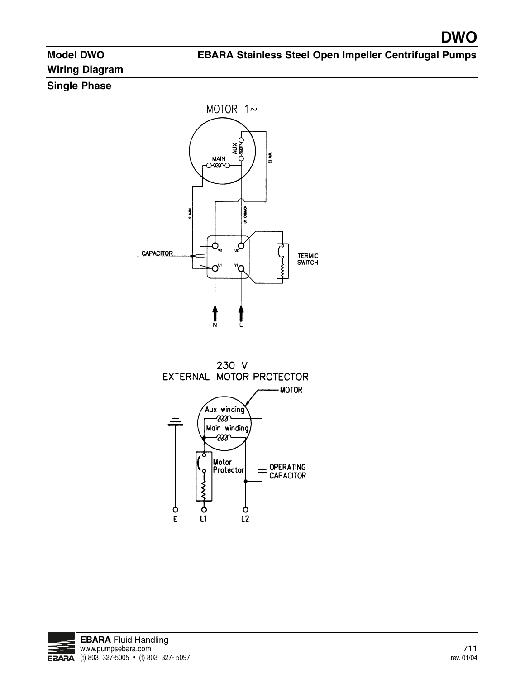**EBARA Stainless Steel Open Impeller Centrifugal Pumps**

# **Wiring Diagram**

### **Single Phase**

![](_page_11_Figure_5.jpeg)

![](_page_11_Figure_6.jpeg)

 $\bar{\text{E}}$ 

 $L1$ 

![](_page_11_Picture_7.jpeg)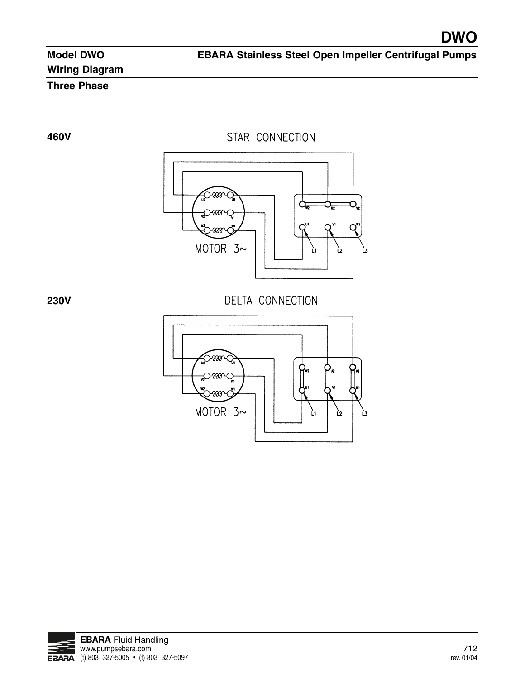# **Wiring Diagram**

# **Three Phase**

**460V**

STAR CONNECTION

![](_page_12_Picture_7.jpeg)

**230V**

![](_page_12_Figure_9.jpeg)

![](_page_12_Figure_10.jpeg)

![](_page_12_Picture_11.jpeg)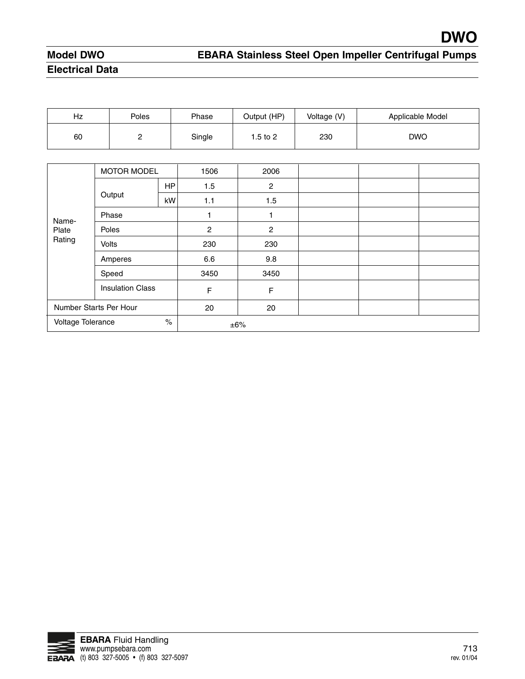# **Model DWO Electrical Data**

| Hz | Poles | Phase  | Output (HP) | Voltage (V) | Applicable Model |
|----|-------|--------|-------------|-------------|------------------|
| 60 | ◠     | Single | l.5 to 2    | 230         | <b>DWO</b>       |

|                           | <b>MOTOR MODEL</b>      |           | 1506           | 2006           |  |  |
|---------------------------|-------------------------|-----------|----------------|----------------|--|--|
|                           |                         | <b>HP</b> | 1.5            | $\overline{2}$ |  |  |
|                           | Output                  | kW        | 1.1            | 1.5            |  |  |
| Name-                     | Phase                   |           |                | 1              |  |  |
| Plate                     | Poles                   |           | $\overline{c}$ | $\overline{2}$ |  |  |
| Rating                    | <b>Volts</b>            |           | 230            | 230            |  |  |
|                           | Amperes                 |           | 6.6            | 9.8            |  |  |
|                           | Speed                   |           | 3450           | 3450           |  |  |
|                           | <b>Insulation Class</b> |           | F              | $\mathsf F$    |  |  |
|                           | Number Starts Per Hour  |           | 20             | 20             |  |  |
| $\%$<br>Voltage Tolerance |                         |           |                | $\pm 6\%$      |  |  |

![](_page_13_Picture_5.jpeg)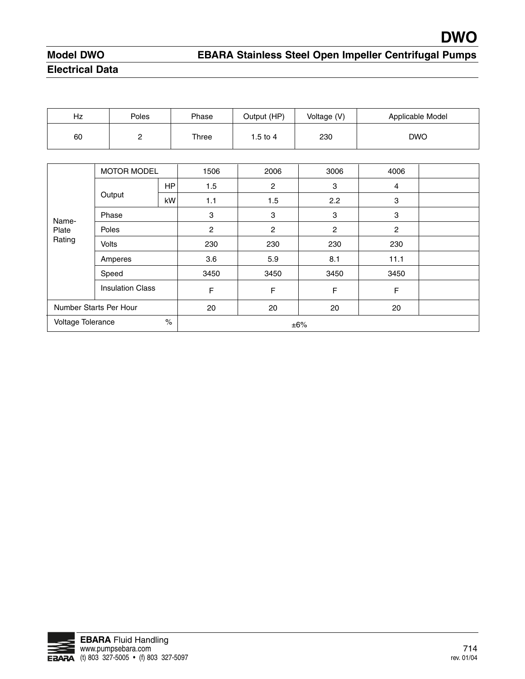# **Model DWO Electrical Data**

# **EBARA Stainless Steel Open Impeller Centrifugal Pumps**

| Hz | Poles    | Phase | Output (HP) | Voltage (V) | Applicable Model |
|----|----------|-------|-------------|-------------|------------------|
| 60 | <u>_</u> | Three | 1.5 to 4    | 230         | <b>DWO</b>       |

|                           | <b>MOTOR MODEL</b>      |           | 1506 | 2006           | 3006           | 4006 |  |
|---------------------------|-------------------------|-----------|------|----------------|----------------|------|--|
|                           |                         | <b>HP</b> | 1.5  | 2              | 3              | 4    |  |
|                           | Output                  | kW        | 1.1  | 1.5            | 2.2            | 3    |  |
| Name-                     | Phase                   |           | 3    | 3              | 3              | 3    |  |
| Plate                     | Poles                   |           | 2    | $\overline{c}$ | $\overline{c}$ | 2    |  |
| Rating                    | <b>Volts</b>            |           | 230  | 230            | 230            | 230  |  |
|                           | Amperes                 |           | 3.6  | 5.9            | 8.1            | 11.1 |  |
|                           | Speed                   |           | 3450 | 3450           | 3450           | 3450 |  |
|                           | <b>Insulation Class</b> |           | F    | F              | F              | F    |  |
|                           | Number Starts Per Hour  |           | 20   | 20             | 20             | 20   |  |
| $\%$<br>Voltage Tolerance |                         |           |      |                | ±6%            |      |  |

![](_page_14_Picture_5.jpeg)